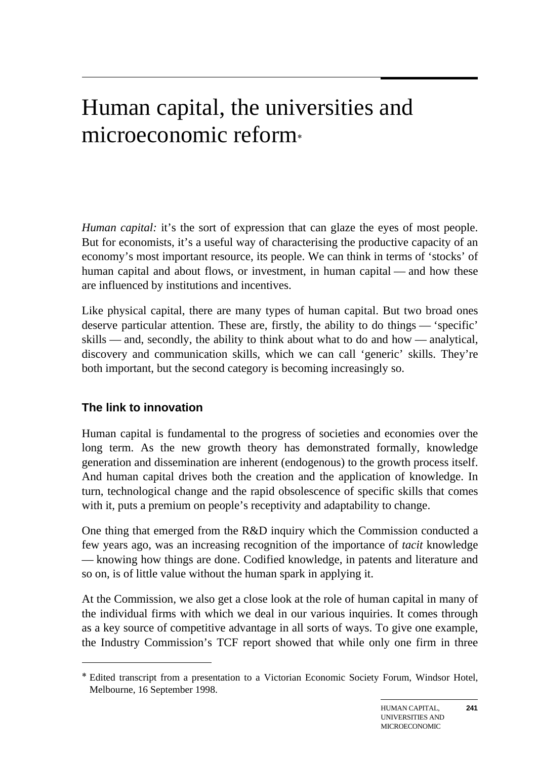# Human capital, the universities and microeconomic reform<sup>∗</sup>

*Human capital:* it's the sort of expression that can glaze the eyes of most people. But for economists, it's a useful way of characterising the productive capacity of an economy's most important resource, its people. We can think in terms of 'stocks' of human capital and about flows, or investment, in human capital — and how these are influenced by institutions and incentives.

Like physical capital, there are many types of human capital. But two broad ones deserve particular attention. These are, firstly, the ability to do things — 'specific' skills — and, secondly, the ability to think about what to do and how — analytical, discovery and communication skills, which we can call 'generic' skills. They're both important, but the second category is becoming increasingly so.

#### **The link to innovation**

 $\overline{a}$ 

Human capital is fundamental to the progress of societies and economies over the long term. As the new growth theory has demonstrated formally, knowledge generation and dissemination are inherent (endogenous) to the growth process itself. And human capital drives both the creation and the application of knowledge. In turn, technological change and the rapid obsolescence of specific skills that comes with it, puts a premium on people's receptivity and adaptability to change.

One thing that emerged from the R&D inquiry which the Commission conducted a few years ago, was an increasing recognition of the importance of *tacit* knowledge — knowing how things are done. Codified knowledge, in patents and literature and so on, is of little value without the human spark in applying it.

At the Commission, we also get a close look at the role of human capital in many of the individual firms with which we deal in our various inquiries. It comes through as a key source of competitive advantage in all sorts of ways. To give one example, the Industry Commission's TCF report showed that while only one firm in three

**241**

<sup>∗</sup> Edited transcript from a presentation to a Victorian Economic Society Forum, Windsor Hotel, Melbourne, 16 September 1998.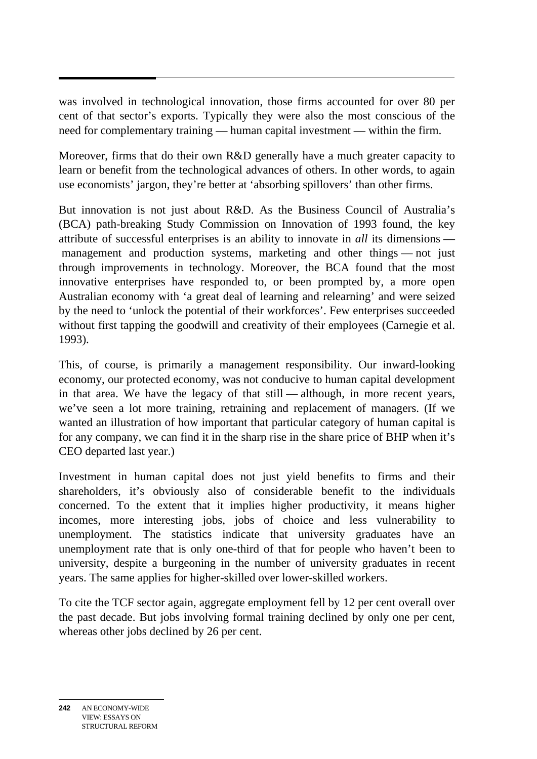was involved in technological innovation, those firms accounted for over 80 per cent of that sector's exports. Typically they were also the most conscious of the need for complementary training — human capital investment — within the firm.

Moreover, firms that do their own R&D generally have a much greater capacity to learn or benefit from the technological advances of others. In other words, to again use economists' jargon, they're better at 'absorbing spillovers' than other firms.

But innovation is not just about R&D. As the Business Council of Australia's (BCA) path-breaking Study Commission on Innovation of 1993 found, the key attribute of successful enterprises is an ability to innovate in *all* its dimensions management and production systems, marketing and other things — not just through improvements in technology. Moreover, the BCA found that the most innovative enterprises have responded to, or been prompted by, a more open Australian economy with 'a great deal of learning and relearning' and were seized by the need to 'unlock the potential of their workforces'. Few enterprises succeeded without first tapping the goodwill and creativity of their employees (Carnegie et al. 1993).

This, of course, is primarily a management responsibility. Our inward-looking economy, our protected economy, was not conducive to human capital development in that area. We have the legacy of that still — although, in more recent years, we've seen a lot more training, retraining and replacement of managers. (If we wanted an illustration of how important that particular category of human capital is for any company, we can find it in the sharp rise in the share price of BHP when it's CEO departed last year.)

Investment in human capital does not just yield benefits to firms and their shareholders, it's obviously also of considerable benefit to the individuals concerned. To the extent that it implies higher productivity, it means higher incomes, more interesting jobs, jobs of choice and less vulnerability to unemployment. The statistics indicate that university graduates have an unemployment rate that is only one-third of that for people who haven't been to university, despite a burgeoning in the number of university graduates in recent years. The same applies for higher-skilled over lower-skilled workers.

To cite the TCF sector again, aggregate employment fell by 12 per cent overall over the past decade. But jobs involving formal training declined by only one per cent, whereas other jobs declined by 26 per cent.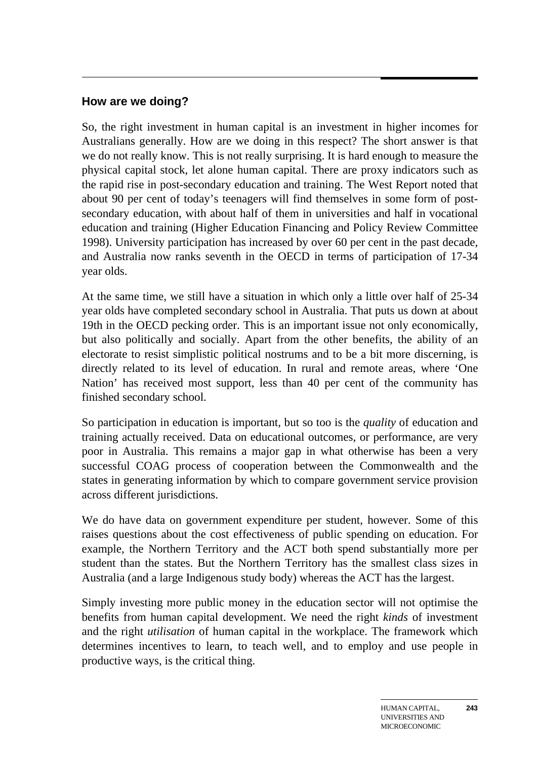#### **How are we doing?**

So, the right investment in human capital is an investment in higher incomes for Australians generally. How are we doing in this respect? The short answer is that we do not really know. This is not really surprising. It is hard enough to measure the physical capital stock, let alone human capital. There are proxy indicators such as the rapid rise in post-secondary education and training. The West Report noted that about 90 per cent of today's teenagers will find themselves in some form of postsecondary education, with about half of them in universities and half in vocational education and training (Higher Education Financing and Policy Review Committee 1998). University participation has increased by over 60 per cent in the past decade, and Australia now ranks seventh in the OECD in terms of participation of 17-34 year olds.

At the same time, we still have a situation in which only a little over half of 25-34 year olds have completed secondary school in Australia. That puts us down at about 19th in the OECD pecking order. This is an important issue not only economically, but also politically and socially. Apart from the other benefits, the ability of an electorate to resist simplistic political nostrums and to be a bit more discerning, is directly related to its level of education. In rural and remote areas, where 'One Nation' has received most support, less than 40 per cent of the community has finished secondary school.

So participation in education is important, but so too is the *quality* of education and training actually received. Data on educational outcomes, or performance, are very poor in Australia. This remains a major gap in what otherwise has been a very successful COAG process of cooperation between the Commonwealth and the states in generating information by which to compare government service provision across different jurisdictions.

We do have data on government expenditure per student, however. Some of this raises questions about the cost effectiveness of public spending on education. For example, the Northern Territory and the ACT both spend substantially more per student than the states. But the Northern Territory has the smallest class sizes in Australia (and a large Indigenous study body) whereas the ACT has the largest.

Simply investing more public money in the education sector will not optimise the benefits from human capital development. We need the right *kinds* of investment and the right *utilisation* of human capital in the workplace. The framework which determines incentives to learn, to teach well, and to employ and use people in productive ways, is the critical thing.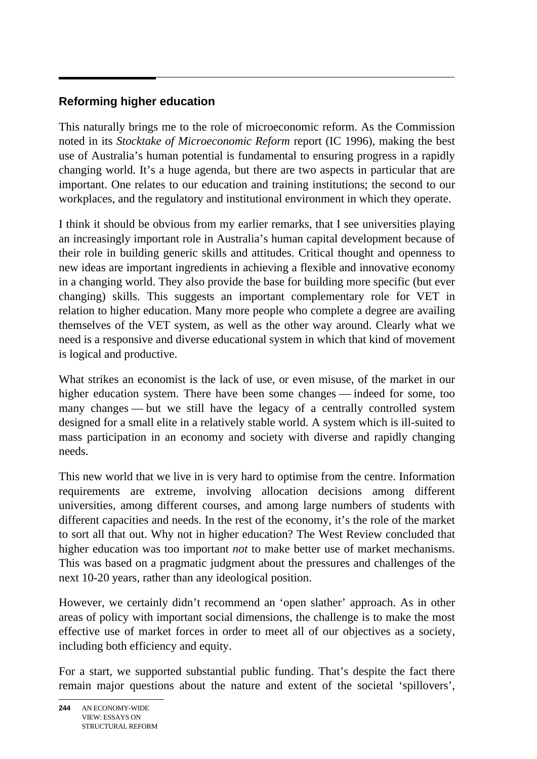## **Reforming higher education**

This naturally brings me to the role of microeconomic reform. As the Commission noted in its *Stocktake of Microeconomic Reform* report (IC 1996), making the best use of Australia's human potential is fundamental to ensuring progress in a rapidly changing world. It's a huge agenda, but there are two aspects in particular that are important. One relates to our education and training institutions; the second to our workplaces, and the regulatory and institutional environment in which they operate.

I think it should be obvious from my earlier remarks, that I see universities playing an increasingly important role in Australia's human capital development because of their role in building generic skills and attitudes. Critical thought and openness to new ideas are important ingredients in achieving a flexible and innovative economy in a changing world. They also provide the base for building more specific (but ever changing) skills. This suggests an important complementary role for VET in relation to higher education. Many more people who complete a degree are availing themselves of the VET system, as well as the other way around. Clearly what we need is a responsive and diverse educational system in which that kind of movement is logical and productive.

What strikes an economist is the lack of use, or even misuse, of the market in our higher education system. There have been some changes — indeed for some, too many changes — but we still have the legacy of a centrally controlled system designed for a small elite in a relatively stable world. A system which is ill-suited to mass participation in an economy and society with diverse and rapidly changing needs.

This new world that we live in is very hard to optimise from the centre. Information requirements are extreme, involving allocation decisions among different universities, among different courses, and among large numbers of students with different capacities and needs. In the rest of the economy, it's the role of the market to sort all that out. Why not in higher education? The West Review concluded that higher education was too important *not* to make better use of market mechanisms. This was based on a pragmatic judgment about the pressures and challenges of the next 10-20 years, rather than any ideological position.

However, we certainly didn't recommend an 'open slather' approach. As in other areas of policy with important social dimensions, the challenge is to make the most effective use of market forces in order to meet all of our objectives as a society, including both efficiency and equity.

For a start, we supported substantial public funding. That's despite the fact there remain major questions about the nature and extent of the societal 'spillovers',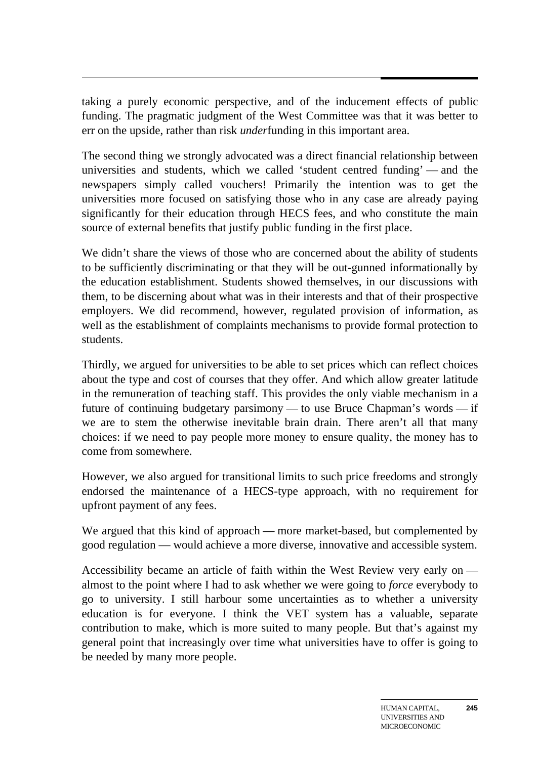taking a purely economic perspective, and of the inducement effects of public funding. The pragmatic judgment of the West Committee was that it was better to err on the upside, rather than risk *under*funding in this important area.

The second thing we strongly advocated was a direct financial relationship between universities and students, which we called 'student centred funding' — and the newspapers simply called vouchers! Primarily the intention was to get the universities more focused on satisfying those who in any case are already paying significantly for their education through HECS fees, and who constitute the main source of external benefits that justify public funding in the first place.

We didn't share the views of those who are concerned about the ability of students to be sufficiently discriminating or that they will be out-gunned informationally by the education establishment. Students showed themselves, in our discussions with them, to be discerning about what was in their interests and that of their prospective employers. We did recommend, however, regulated provision of information, as well as the establishment of complaints mechanisms to provide formal protection to students.

Thirdly, we argued for universities to be able to set prices which can reflect choices about the type and cost of courses that they offer. And which allow greater latitude in the remuneration of teaching staff. This provides the only viable mechanism in a future of continuing budgetary parsimony — to use Bruce Chapman's words — if we are to stem the otherwise inevitable brain drain. There aren't all that many choices: if we need to pay people more money to ensure quality, the money has to come from somewhere.

However, we also argued for transitional limits to such price freedoms and strongly endorsed the maintenance of a HECS-type approach, with no requirement for upfront payment of any fees.

We argued that this kind of approach — more market-based, but complemented by good regulation — would achieve a more diverse, innovative and accessible system.

Accessibility became an article of faith within the West Review very early on almost to the point where I had to ask whether we were going to *force* everybody to go to university. I still harbour some uncertainties as to whether a university education is for everyone. I think the VET system has a valuable, separate contribution to make, which is more suited to many people. But that's against my general point that increasingly over time what universities have to offer is going to be needed by many more people.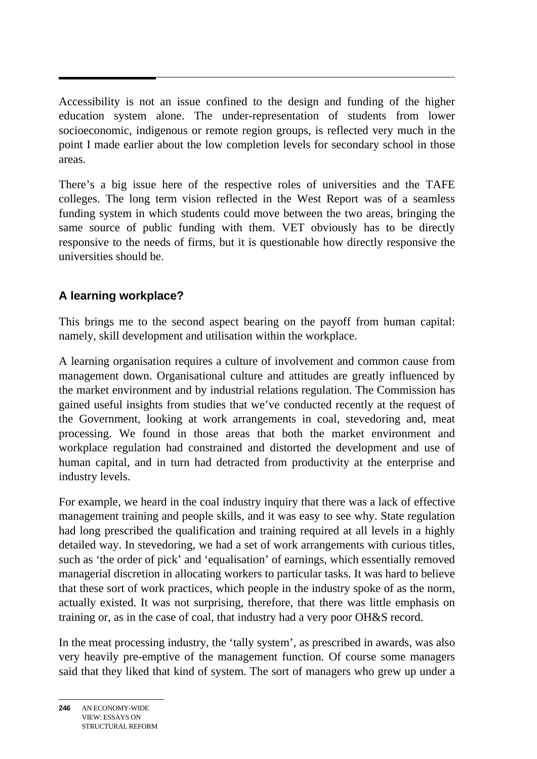Accessibility is not an issue confined to the design and funding of the higher education system alone. The under-representation of students from lower socioeconomic, indigenous or remote region groups, is reflected very much in the point I made earlier about the low completion levels for secondary school in those areas.

There's a big issue here of the respective roles of universities and the TAFE colleges. The long term vision reflected in the West Report was of a seamless funding system in which students could move between the two areas, bringing the same source of public funding with them. VET obviously has to be directly responsive to the needs of firms, but it is questionable how directly responsive the universities should be.

### **A learning workplace?**

This brings me to the second aspect bearing on the payoff from human capital: namely, skill development and utilisation within the workplace.

A learning organisation requires a culture of involvement and common cause from management down. Organisational culture and attitudes are greatly influenced by the market environment and by industrial relations regulation. The Commission has gained useful insights from studies that we've conducted recently at the request of the Government, looking at work arrangements in coal, stevedoring and, meat processing. We found in those areas that both the market environment and workplace regulation had constrained and distorted the development and use of human capital, and in turn had detracted from productivity at the enterprise and industry levels.

For example, we heard in the coal industry inquiry that there was a lack of effective management training and people skills, and it was easy to see why. State regulation had long prescribed the qualification and training required at all levels in a highly detailed way. In stevedoring, we had a set of work arrangements with curious titles, such as 'the order of pick' and 'equalisation' of earnings, which essentially removed managerial discretion in allocating workers to particular tasks. It was hard to believe that these sort of work practices, which people in the industry spoke of as the norm, actually existed. It was not surprising, therefore, that there was little emphasis on training or, as in the case of coal, that industry had a very poor OH&S record.

In the meat processing industry, the 'tally system', as prescribed in awards, was also very heavily pre-emptive of the management function. Of course some managers said that they liked that kind of system. The sort of managers who grew up under a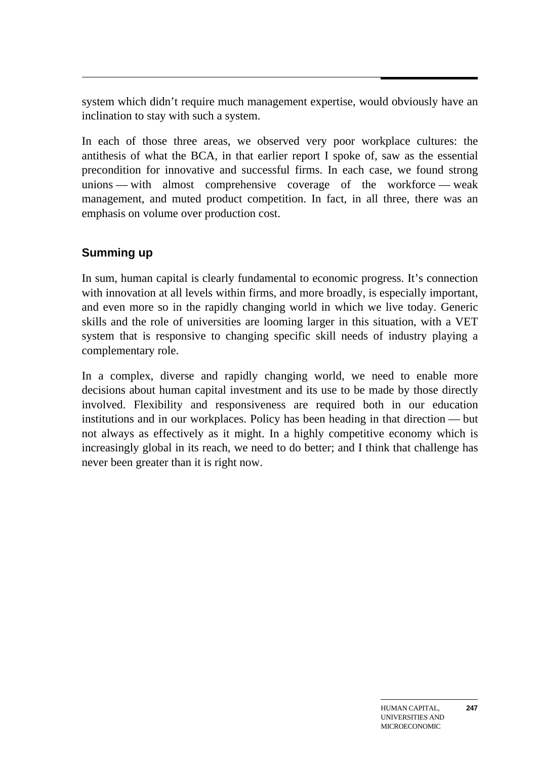system which didn't require much management expertise, would obviously have an inclination to stay with such a system.

In each of those three areas, we observed very poor workplace cultures: the antithesis of what the BCA, in that earlier report I spoke of, saw as the essential precondition for innovative and successful firms. In each case, we found strong unions — with almost comprehensive coverage of the workforce — weak management, and muted product competition. In fact, in all three, there was an emphasis on volume over production cost.

#### **Summing up**

In sum, human capital is clearly fundamental to economic progress. It's connection with innovation at all levels within firms, and more broadly, is especially important, and even more so in the rapidly changing world in which we live today. Generic skills and the role of universities are looming larger in this situation, with a VET system that is responsive to changing specific skill needs of industry playing a complementary role.

In a complex, diverse and rapidly changing world, we need to enable more decisions about human capital investment and its use to be made by those directly involved. Flexibility and responsiveness are required both in our education institutions and in our workplaces. Policy has been heading in that direction — but not always as effectively as it might. In a highly competitive economy which is increasingly global in its reach, we need to do better; and I think that challenge has never been greater than it is right now.